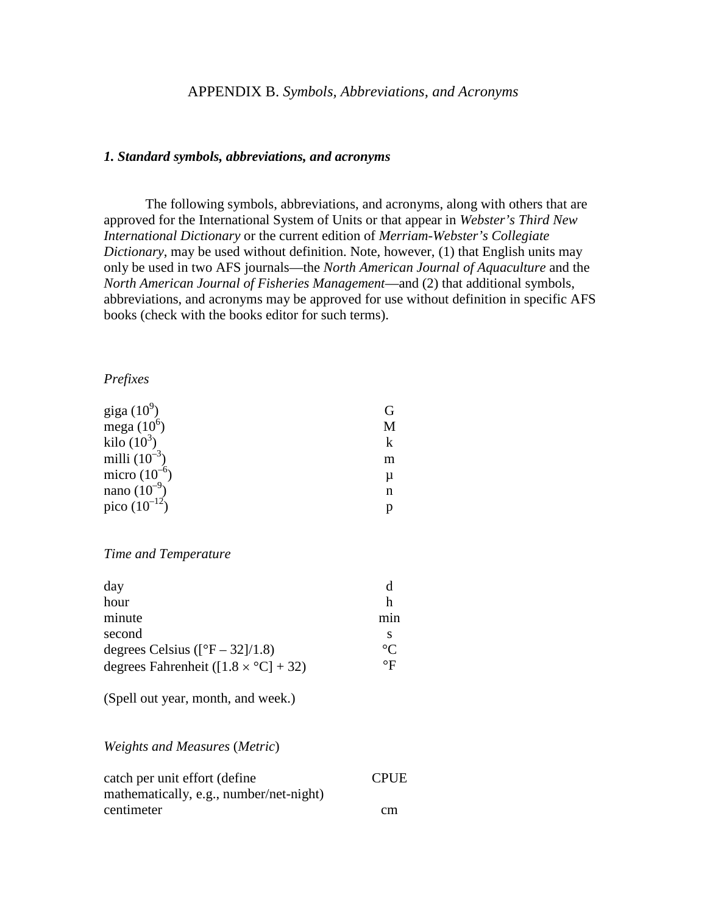#### *1. Standard symbols, abbreviations, and acronyms*

The following symbols, abbreviations, and acronyms, along with others that are approved for the International System of Units or that appear in *Webster's Third New International Dictionary* or the current edition of *Merriam-Webster's Collegiate Dictionary*, may be used without definition. Note, however, (1) that English units may only be used in two AFS journals—the *North American Journal of Aquaculture* and the *North American Journal of Fisheries Management*—and (2) that additional symbols, abbreviations, and acronyms may be approved for use without definition in specific AFS books (check with the books editor for such terms).

#### *Prefixes*

| giga $(10^9)$     |   |
|-------------------|---|
| mega $(10^6)$     | M |
| kilo $(10^3)$     |   |
| milli $(10^{-3})$ | m |
| micro $(10^{-6})$ | μ |
| nano $(10^{-9})$  | n |
| pico $(10^{-12})$ |   |

### *Time and Temperature*

| day                                           |                  |
|-----------------------------------------------|------------------|
| hour                                          | h                |
| minute                                        | m <sub>1</sub> n |
| second                                        |                  |
| degrees Celsius ( $[^{\circ}F - 32]/1.8$ )    | $^{\circ}C$      |
| degrees Fahrenheit ( $[1.8 \times °C] + 32$ ) | $\circ$ F        |

(Spell out year, month, and week.)

### *Weights and Measures* (*Metric*)

| catch per unit effort (define)          | <b>CPUE</b> |
|-----------------------------------------|-------------|
| mathematically, e.g., number/net-night) |             |
| centimeter                              | cm          |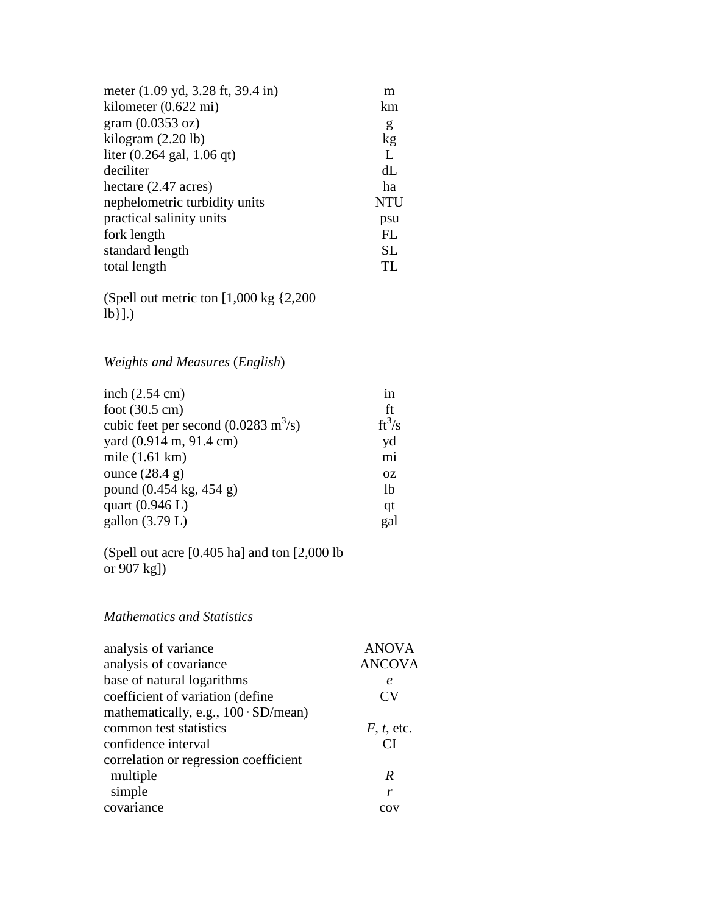| meter (1.09 yd, 3.28 ft, 39.4 in)            | m          |
|----------------------------------------------|------------|
| kilometer $(0.622 \text{ mi})$               | km         |
| gram $(0.0353 \text{ oz})$                   | g          |
| kilogram $(2.20 \text{ lb})$                 | kg         |
| liter $(0.264 \text{ gal}, 1.06 \text{ qt})$ | L          |
| deciliter                                    | dL         |
| hectare $(2.47 \text{ acres})$               | ha         |
| nephelometric turbidity units                | <b>NTU</b> |
| practical salinity units                     | psu        |
| fork length                                  | FL         |
| standard length                              | <b>SL</b>  |
| total length                                 | TL         |

(Spell out metric ton [1,000 kg {2,200  $\hat{a}$ ].)

*Weights and Measures* (*English*)

| inch $(2.54 \text{ cm})$                              | <sub>in</sub>  |
|-------------------------------------------------------|----------------|
| foot $(30.5 \text{ cm})$                              | ft             |
| cubic feet per second $(0.0283 \text{ m}^3/\text{s})$ | $ft^3/s$       |
| yard (0.914 m, 91.4 cm)                               | yd             |
| mile $(1.61 \text{ km})$                              | mi             |
| ounce $(28.4 g)$                                      | <b>OZ</b>      |
| pound (0.454 kg, 454 g)                               | <sup>1</sup> b |
| quart $(0.946 L)$                                     | qt             |
| gallon $(3.79 L)$                                     | gal            |
|                                                       |                |

(Spell out acre [0.405 ha] and ton [2,000 lb or 907 kg])

## *Mathematics and Statistics*

| analysis of variance                        | <b>ANOVA</b>    |
|---------------------------------------------|-----------------|
| analysis of covariance                      | <b>ANCOVA</b>   |
| base of natural logarithms                  | $\epsilon$      |
| coefficient of variation (define            | CV              |
| mathematically, e.g., $100 \cdot SD/mean$ ) |                 |
| common test statistics                      | $F, t,$ etc.    |
| confidence interval                         | $\overline{CI}$ |
| correlation or regression coefficient       |                 |
| multiple                                    | R               |
| simple                                      | r               |
| covariance                                  | COV             |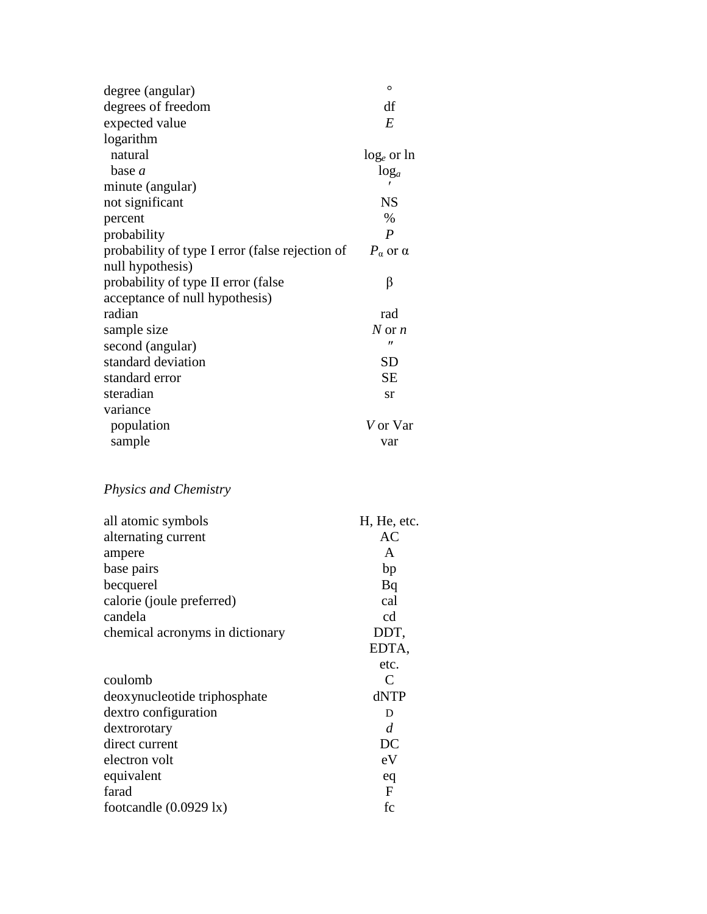| $\circ$                                                                     |
|-----------------------------------------------------------------------------|
| df                                                                          |
| E                                                                           |
|                                                                             |
| $log_e$ or ln                                                               |
| $log_a$                                                                     |
|                                                                             |
| <b>NS</b>                                                                   |
| $\%$                                                                        |
| $\boldsymbol{P}$                                                            |
| probability of type I error (false rejection of<br>$P_{\alpha}$ or $\alpha$ |
|                                                                             |
| β                                                                           |
|                                                                             |
| rad                                                                         |
| N or $n$                                                                    |
| $^{\prime\prime}$                                                           |
| <b>SD</b>                                                                   |
| <b>SE</b>                                                                   |
| sr                                                                          |
|                                                                             |
| V or Var                                                                    |
| var                                                                         |
|                                                                             |

# *Physics and Chemistry*

| all atomic symbols               | H, He, etc. |
|----------------------------------|-------------|
| alternating current              | AC          |
| ampere                           | A           |
| base pairs                       | bp          |
| becquerel                        | Bq          |
| calorie (joule preferred)        | cal         |
| candela                          | cd          |
| chemical acronyms in dictionary  | DDT,        |
|                                  | EDTA,       |
|                                  | etc.        |
| coulomb                          | C           |
| deoxynucleotide triphosphate     | dNTP        |
| dextro configuration             | D           |
| dextrorotary                     | d           |
| direct current                   | DC          |
| electron volt                    | eV          |
| equivalent                       | eq          |
| farad                            | F           |
| footcandle $(0.0929 \text{ lx})$ | fc          |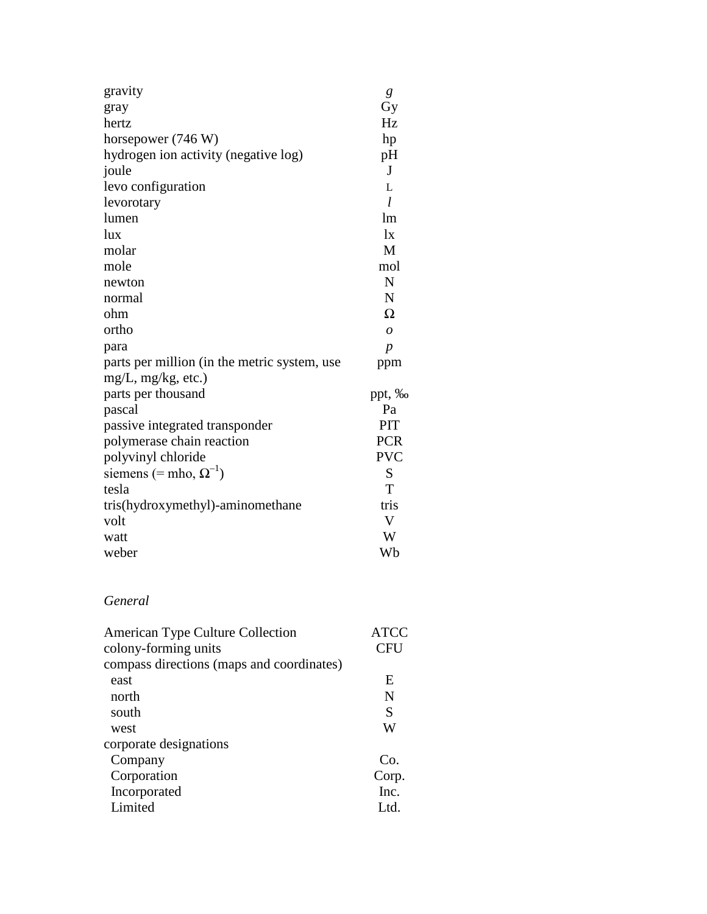| gravity                                      | g                |
|----------------------------------------------|------------------|
| gray                                         | Gy               |
| hertz                                        | Hz               |
| horsepower (746 W)                           | hp               |
| hydrogen ion activity (negative log)         | pH               |
| joule                                        | J                |
| levo configuration                           | L                |
| levorotary                                   | $\iota$          |
| lumen                                        | lm               |
| lux                                          | $\mathbf{I}$     |
| molar                                        | M                |
| mole                                         | mol              |
| newton                                       | N                |
| normal                                       | N                |
| ohm                                          | Ω                |
| ortho                                        | $\overline{O}$   |
| para                                         | $\boldsymbol{p}$ |
| parts per million (in the metric system, use | ppm              |
| $mg/L$ , mg/kg, etc.)                        |                  |
| parts per thousand                           | ppt, ‰           |
| pascal                                       | Pa               |
| passive integrated transponder               | PIT              |
| polymerase chain reaction                    | <b>PCR</b>       |
| polyvinyl chloride                           | <b>PVC</b>       |
| siemens (= mho, $\Omega^{-1}$ )              | S                |
| tesla                                        | T                |
| tris(hydroxymethyl)-aminomethane             | tris             |
| volt                                         | V                |
| watt                                         | W                |
| weber                                        | Wb               |

# *General*

| American Type Culture Collection          | ATCC       |
|-------------------------------------------|------------|
| colony-forming units                      | <b>CFU</b> |
| compass directions (maps and coordinates) |            |
| east                                      | E          |
| north                                     | N          |
| south                                     | S          |
| west                                      | W          |
| corporate designations                    |            |
| Company                                   | Co.        |
| Corporation                               | Corp.      |
| Incorporated                              | Inc.       |
| Limited                                   | Ltd.       |
|                                           |            |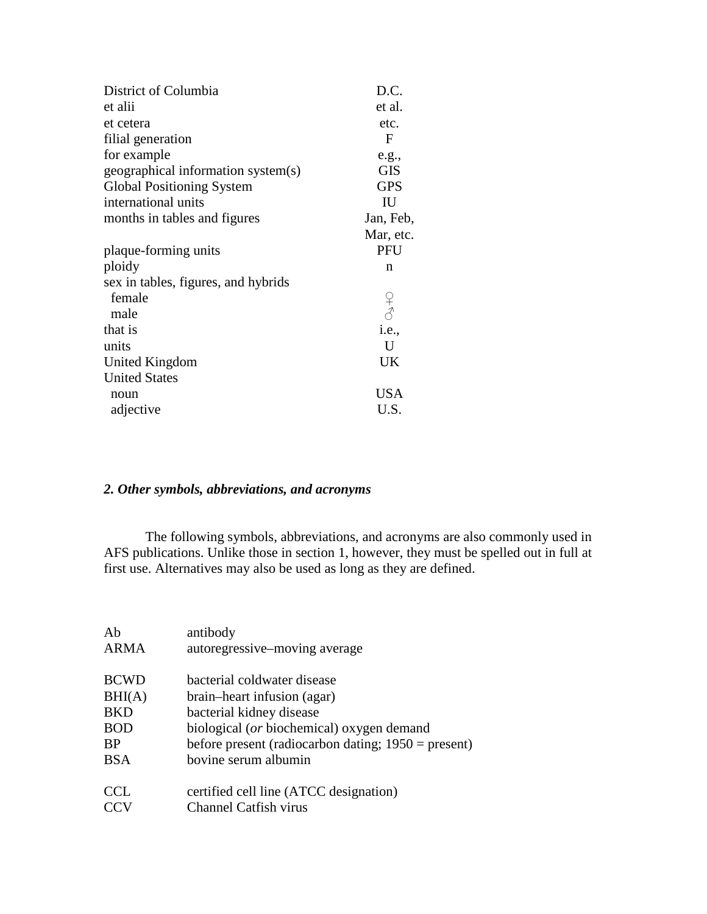| District of Columbia                | D.C.                                                               |
|-------------------------------------|--------------------------------------------------------------------|
| et alii                             | et al.                                                             |
| et cetera                           | etc.                                                               |
| filial generation                   | F                                                                  |
| for example                         | e.g.,                                                              |
| geographical information system(s)  | <b>GIS</b>                                                         |
| <b>Global Positioning System</b>    | <b>GPS</b>                                                         |
| international units                 | IU                                                                 |
| months in tables and figures        | Jan, Feb,                                                          |
|                                     | Mar, etc.                                                          |
| plaque-forming units                | PFU                                                                |
| ploidy                              | n                                                                  |
| sex in tables, figures, and hybrids |                                                                    |
| female                              |                                                                    |
| male                                | $\begin{array}{c} \n\varphi \\ \n\varphi \\ \ni.e., \n\end{array}$ |
| that is                             |                                                                    |
| units                               | U                                                                  |
| United Kingdom                      | UK                                                                 |
| <b>United States</b>                |                                                                    |
| noun                                | <b>USA</b>                                                         |
| adjective                           | U.S.                                                               |

### *2. Other symbols, abbreviations, and acronyms*

The following symbols, abbreviations, and acronyms are also commonly used in AFS publications. Unlike those in section 1, however, they must be spelled out in full at first use. Alternatives may also be used as long as they are defined.

| Ab          | antibody                                              |
|-------------|-------------------------------------------------------|
| ARMA        | autoregressive–moving average                         |
| <b>BCWD</b> | bacterial coldwater disease                           |
| BHI(A)      | brain-heart infusion (agar)                           |
| <b>BKD</b>  | bacterial kidney disease                              |
| <b>BOD</b>  | biological (or biochemical) oxygen demand             |
| <b>BP</b>   | before present (radiocarbon dating; $1950$ = present) |
| <b>BSA</b>  | bovine serum albumin                                  |
| <b>CCL</b>  | certified cell line (ATCC designation)                |
| <b>CCV</b>  | <b>Channel Catfish virus</b>                          |
|             |                                                       |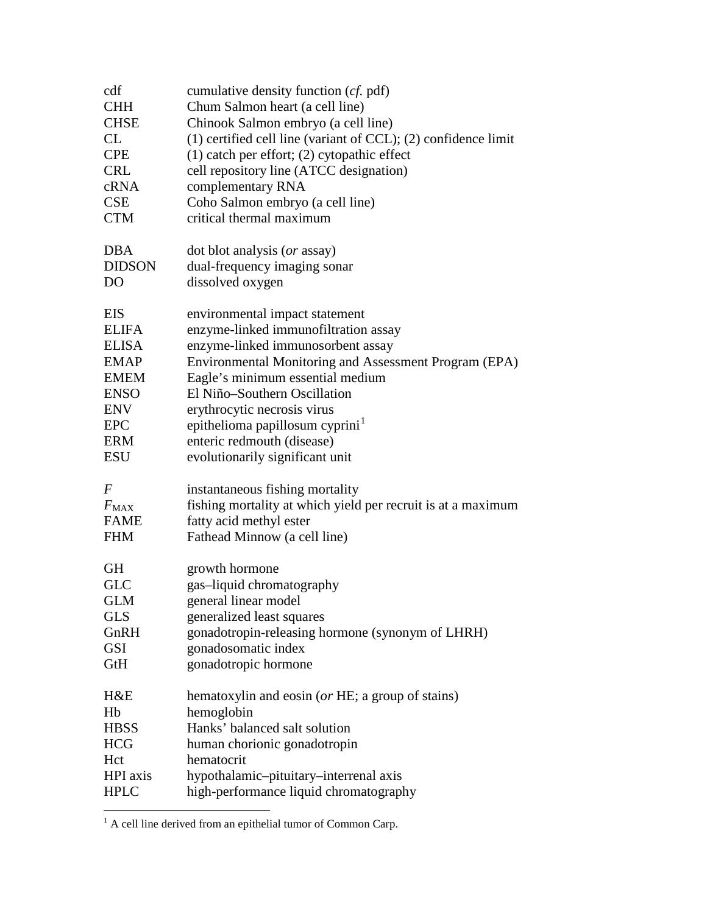| HPI axis<br><b>HPLC</b>   | hypothalamic-pituitary-interrenal axis<br>high-performance liquid chromatography |
|---------------------------|----------------------------------------------------------------------------------|
| Hct                       | hematocrit                                                                       |
| <b>HBSS</b><br><b>HCG</b> | human chorionic gonadotropin                                                     |
| Hb                        | hemoglobin<br>Hanks' balanced salt solution                                      |
| H&E                       | hematoxylin and eosin (or HE; a group of stains)                                 |
|                           |                                                                                  |
| GtH                       | gonadotropic hormone                                                             |
| <b>GSI</b>                | gonadosomatic index                                                              |
| GnRH                      | gonadotropin-releasing hormone (synonym of LHRH)                                 |
| <b>GLS</b>                | generalized least squares                                                        |
| GLM                       | general linear model                                                             |
| <b>GLC</b>                | gas-liquid chromatography                                                        |
| <b>GH</b>                 | growth hormone                                                                   |
| <b>FHM</b>                | Fathead Minnow (a cell line)                                                     |
| <b>FAME</b>               | fatty acid methyl ester                                                          |
| $F_{MAX}$                 | fishing mortality at which yield per recruit is at a maximum                     |
| F                         | instantaneous fishing mortality                                                  |
|                           |                                                                                  |
| <b>ESU</b>                | evolutionarily significant unit                                                  |
| <b>ERM</b>                | enteric redmouth (disease)                                                       |
| <b>EPC</b>                | epithelioma papillosum cyprini <sup>1</sup>                                      |
| <b>ENV</b>                | erythrocytic necrosis virus                                                      |
| <b>ENSO</b>               | El Niño-Southern Oscillation                                                     |
| <b>EMEM</b>               | Eagle's minimum essential medium                                                 |
| <b>EMAP</b>               | Environmental Monitoring and Assessment Program (EPA)                            |
| <b>ELISA</b>              | enzyme-linked immunosorbent assay                                                |
| <b>ELIFA</b>              | enzyme-linked immunofiltration assay                                             |
| <b>EIS</b>                | environmental impact statement                                                   |
| DO                        | dissolved oxygen                                                                 |
| <b>DIDSON</b>             | dual-frequency imaging sonar                                                     |
| <b>DBA</b>                | dot blot analysis (or assay)                                                     |
|                           |                                                                                  |
| <b>CTM</b>                | critical thermal maximum                                                         |
| <b>CSE</b>                | Coho Salmon embryo (a cell line)                                                 |
| cRNA                      | complementary RNA                                                                |
| <b>CRL</b>                | cell repository line (ATCC designation)                                          |
| <b>CPE</b>                | $(1)$ catch per effort; $(2)$ cytopathic effect                                  |
| CL                        | $(1)$ certified cell line (variant of CCL); $(2)$ confidence limit               |
| <b>CHSE</b>               | Chinook Salmon embryo (a cell line)                                              |
| <b>CHH</b>                | Chum Salmon heart (a cell line)                                                  |
| cdf                       | cumulative density function (cf. pdf)                                            |

<span id="page-5-0"></span> $\overline{1}$  A cell line derived from an epithelial tumor of Common Carp.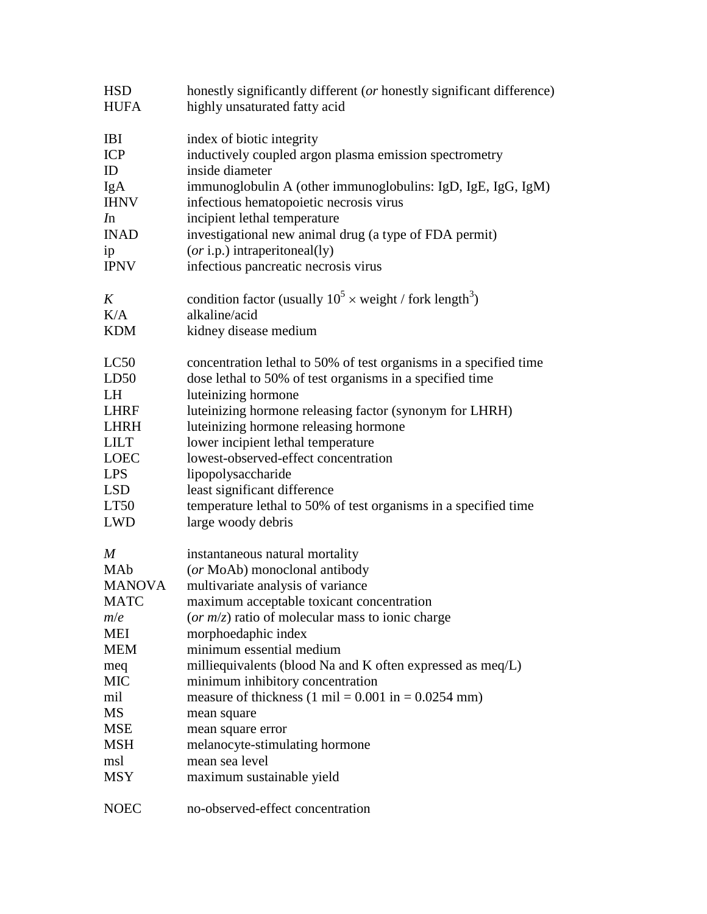| <b>HSD</b>       | honestly significantly different (or honestly significant difference)         |
|------------------|-------------------------------------------------------------------------------|
| <b>HUFA</b>      | highly unsaturated fatty acid                                                 |
| <b>IBI</b>       | index of biotic integrity                                                     |
| <b>ICP</b>       | inductively coupled argon plasma emission spectrometry                        |
| ID               | inside diameter                                                               |
| IgA              | immunoglobulin A (other immunoglobulins: IgD, IgE, IgG, IgM)                  |
| <b>IHNV</b>      | infectious hematopoietic necrosis virus                                       |
| In               | incipient lethal temperature                                                  |
| <b>INAD</b>      | investigational new animal drug (a type of FDA permit)                        |
| ip               | $(or i.p.)$ intraperitoneal(ly)                                               |
| <b>IPNV</b>      | infectious pancreatic necrosis virus                                          |
| K                | condition factor (usually $10^5 \times$ weight / fork length <sup>3</sup> )   |
| K/A              | alkaline/acid                                                                 |
| <b>KDM</b>       | kidney disease medium                                                         |
| LC50             | concentration lethal to 50% of test organisms in a specified time             |
| LD50             | dose lethal to 50% of test organisms in a specified time                      |
| <b>LH</b>        | luteinizing hormone                                                           |
| <b>LHRF</b>      | luteinizing hormone releasing factor (synonym for LHRH)                       |
| <b>LHRH</b>      | luteinizing hormone releasing hormone                                         |
| <b>LILT</b>      | lower incipient lethal temperature                                            |
| <b>LOEC</b>      | lowest-observed-effect concentration                                          |
| <b>LPS</b>       | lipopolysaccharide                                                            |
| <b>LSD</b>       | least significant difference                                                  |
| LT50             | temperature lethal to 50% of test organisms in a specified time               |
| <b>LWD</b>       | large woody debris                                                            |
| $\boldsymbol{M}$ | instantaneous natural mortality                                               |
| MAb              | (or MoAb) monoclonal antibody                                                 |
| <b>MANOVA</b>    | multivariate analysis of variance                                             |
| <b>MATC</b>      | maximum acceptable toxicant concentration                                     |
| m/e              | (or $m/z$ ) ratio of molecular mass to ionic charge                           |
| MEI              | morphoedaphic index                                                           |
| <b>MEM</b>       | minimum essential medium                                                      |
| meq              | milliequivalents (blood Na and K often expressed as meq/L)                    |
| <b>MIC</b>       | minimum inhibitory concentration                                              |
| mil              | measure of thickness $(1 \text{ mil} = 0.001 \text{ in} = 0.0254 \text{ mm})$ |
| MS               | mean square                                                                   |
| <b>MSE</b>       | mean square error                                                             |
| <b>MSH</b>       | melanocyte-stimulating hormone                                                |
| msl              | mean sea level                                                                |
| <b>MSY</b>       | maximum sustainable yield                                                     |
| <b>NOEC</b>      | no-observed-effect concentration                                              |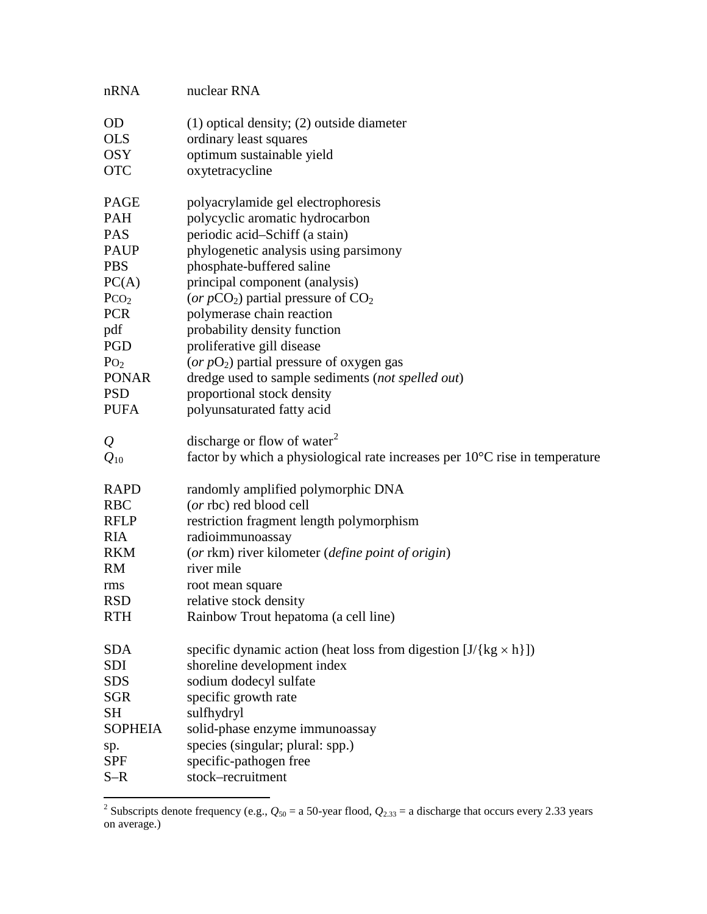| nRNA             | nuclear RNA                                                                           |
|------------------|---------------------------------------------------------------------------------------|
| <b>OD</b>        | $(1)$ optical density; $(2)$ outside diameter                                         |
| <b>OLS</b>       | ordinary least squares                                                                |
| <b>OSY</b>       | optimum sustainable yield                                                             |
| <b>OTC</b>       | oxytetracycline                                                                       |
|                  |                                                                                       |
| <b>PAGE</b>      | polyacrylamide gel electrophoresis                                                    |
| <b>PAH</b>       | polycyclic aromatic hydrocarbon                                                       |
| <b>PAS</b>       | periodic acid-Schiff (a stain)                                                        |
| <b>PAUP</b>      | phylogenetic analysis using parsimony                                                 |
| <b>PBS</b>       | phosphate-buffered saline                                                             |
| PC(A)            | principal component (analysis)                                                        |
| PCO <sub>2</sub> | (or $pCO_2$ ) partial pressure of $CO_2$                                              |
| <b>PCR</b>       | polymerase chain reaction                                                             |
| pdf              | probability density function                                                          |
| PGD              | proliferative gill disease                                                            |
| $P_{O_2}$        | (or $pO_2$ ) partial pressure of oxygen gas                                           |
| <b>PONAR</b>     | dredge used to sample sediments (not spelled out)                                     |
| <b>PSD</b>       | proportional stock density                                                            |
| <b>PUFA</b>      | polyunsaturated fatty acid                                                            |
|                  |                                                                                       |
| $\mathcal{Q}$    | discharge or flow of water <sup>2</sup>                                               |
| $Q_{10}$         | factor by which a physiological rate increases per $10^{\circ}$ C rise in temperature |
| <b>RAPD</b>      | randomly amplified polymorphic DNA                                                    |
| <b>RBC</b>       | (or rbc) red blood cell                                                               |
| <b>RFLP</b>      | restriction fragment length polymorphism                                              |
| <b>RIA</b>       | radioimmunoassay                                                                      |
| <b>RKM</b>       | (or rkm) river kilometer (define point of origin)                                     |
| <b>RM</b>        | river mile                                                                            |
| rms              | root mean square                                                                      |
| <b>RSD</b>       | relative stock density                                                                |
| <b>RTH</b>       | Rainbow Trout hepatoma (a cell line)                                                  |
|                  |                                                                                       |
| <b>SDA</b>       | specific dynamic action (heat loss from digestion $[J/{\rm kg \times h}]$ )           |
| SDI              | shoreline development index                                                           |
| <b>SDS</b>       | sodium dodecyl sulfate                                                                |
| <b>SGR</b>       | specific growth rate                                                                  |
| <b>SH</b>        | sulfhydryl                                                                            |
| <b>SOPHEIA</b>   | solid-phase enzyme immunoassay                                                        |
| sp.              | species (singular; plural: spp.)                                                      |
| <b>SPF</b>       | specific-pathogen free                                                                |
| $S-R$            | stock-recruitment                                                                     |
|                  |                                                                                       |

<span id="page-7-0"></span><sup>&</sup>lt;sup>2</sup> Subscripts denote frequency (e.g.,  $Q_{50} = a 50$ -year flood,  $Q_{2,33} = a$  discharge that occurs every 2.33 years on average.)